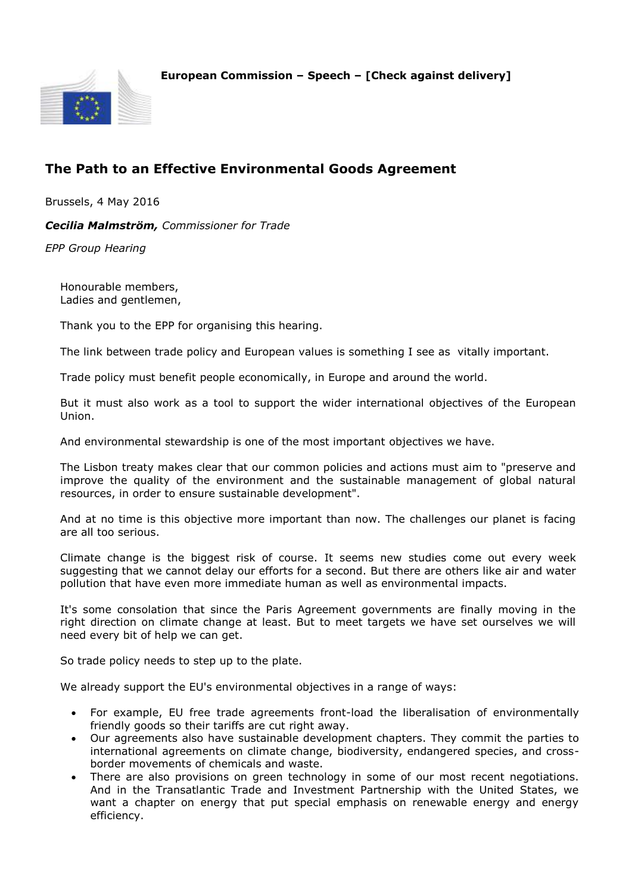



## **The Path to an Effective Environmental Goods Agreement**

Brussels, 4 May 2016

*Cecilia Malmström, Commissioner for Trade*

*EPP Group Hearing*

Honourable members, Ladies and gentlemen,

Thank you to the EPP for organising this hearing.

The link between trade policy and European values is something I see as vitally important.

Trade policy must benefit people economically, in Europe and around the world.

But it must also work as a tool to support the wider international objectives of the European Union.

And environmental stewardship is one of the most important objectives we have.

The Lisbon treaty makes clear that our common policies and actions must aim to "preserve and improve the quality of the environment and the sustainable management of global natural resources, in order to ensure sustainable development".

And at no time is this objective more important than now. The challenges our planet is facing are all too serious.

Climate change is the biggest risk of course. It seems new studies come out every week suggesting that we cannot delay our efforts for a second. But there are others like air and water pollution that have even more immediate human as well as environmental impacts.

It's some consolation that since the Paris Agreement governments are finally moving in the right direction on climate change at least. But to meet targets we have set ourselves we will need every bit of help we can get.

So trade policy needs to step up to the plate.

We already support the EU's environmental objectives in a range of ways:

- For example, EU free trade agreements front-load the liberalisation of environmentally friendly goods so their tariffs are cut right away.
- Our agreements also have sustainable development chapters. They commit the parties to international agreements on climate change, biodiversity, endangered species, and crossborder movements of chemicals and waste.
- There are also provisions on green technology in some of our most recent negotiations. And in the Transatlantic Trade and Investment Partnership with the United States, we want a chapter on energy that put special emphasis on renewable energy and energy efficiency.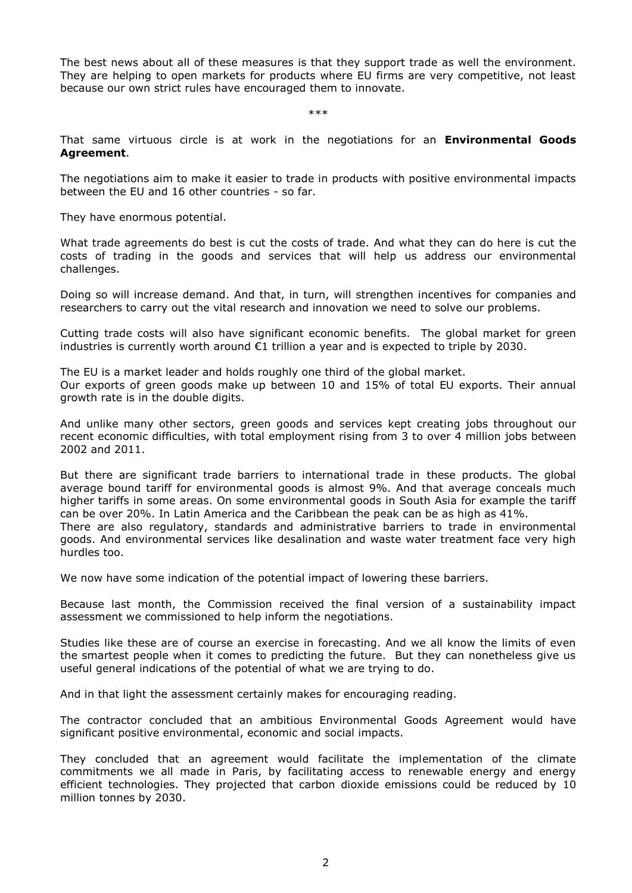The best news about all of these measures is that they support trade as well the environment. They are helping to open markets for products where EU firms are very competitive, not least because our own strict rules have encouraged them to innovate.

\*\*\*

That same virtuous circle is at work in the negotiations for an **Environmental Goods Agreement**.

The negotiations aim to make it easier to trade in products with positive environmental impacts between the EU and 16 other countries - so far.

They have enormous potential.

What trade agreements do best is cut the costs of trade. And what they can do here is cut the costs of trading in the goods and services that will help us address our environmental challenges.

Doing so will increase demand. And that, in turn, will strengthen incentives for companies and researchers to carry out the vital research and innovation we need to solve our problems.

Cutting trade costs will also have significant economic benefits. The global market for green industries is currently worth around €1 trillion a year and is expected to triple by 2030.

The EU is a market leader and holds roughly one third of the global market. Our exports of green goods make up between 10 and 15% of total EU exports. Their annual growth rate is in the double digits.

And unlike many other sectors, green goods and services kept creating jobs throughout our recent economic difficulties, with total employment rising from 3 to over 4 million jobs between 2002 and 2011.

But there are significant trade barriers to international trade in these products. The global average bound tariff for environmental goods is almost 9%. And that average conceals much higher tariffs in some areas. On some environmental goods in South Asia for example the tariff can be over 20%. In Latin America and the Caribbean the peak can be as high as 41%. There are also regulatory, standards and administrative barriers to trade in environmental

goods. And environmental services like desalination and waste water treatment face very high hurdles too.

We now have some indication of the potential impact of lowering these barriers.

Because last month, the Commission received the final version of a sustainability impact assessment we commissioned to help inform the negotiations.

Studies like these are of course an exercise in forecasting. And we all know the limits of even the smartest people when it comes to predicting the future. But they can nonetheless give us useful general indications of the potential of what we are trying to do.

And in that light the assessment certainly makes for encouraging reading.

The contractor concluded that an ambitious Environmental Goods Agreement would have significant positive environmental, economic and social impacts.

They concluded that an agreement would facilitate the implementation of the climate commitments we all made in Paris, by facilitating access to renewable energy and energy efficient technologies. They projected that carbon dioxide emissions could be reduced by 10 million tonnes by 2030.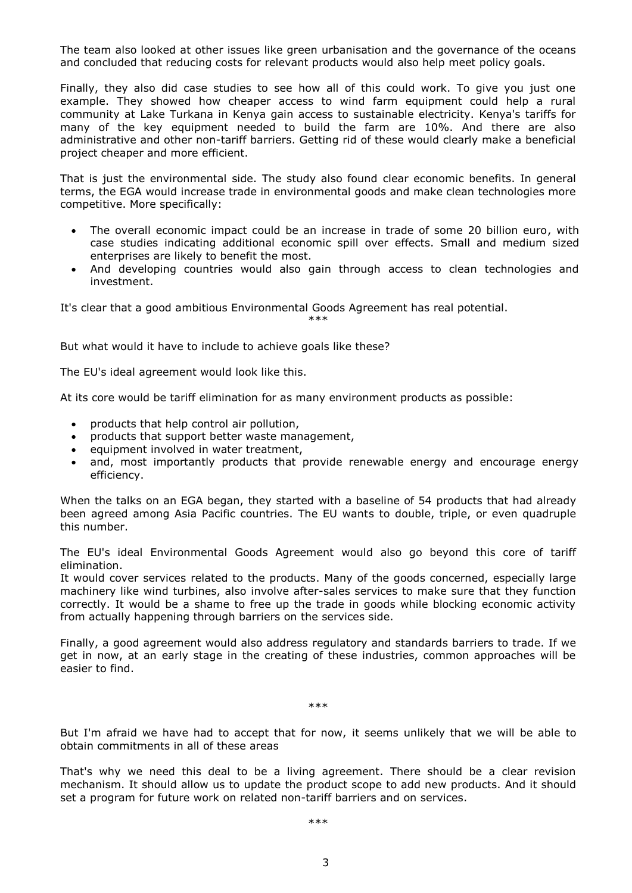The team also looked at other issues like green urbanisation and the governance of the oceans and concluded that reducing costs for relevant products would also help meet policy goals.

Finally, they also did case studies to see how all of this could work. To give you just one example. They showed how cheaper access to wind farm equipment could help a rural community at Lake Turkana in Kenya gain access to sustainable electricity. Kenya's tariffs for many of the key equipment needed to build the farm are 10%. And there are also administrative and other non-tariff barriers. Getting rid of these would clearly make a beneficial project cheaper and more efficient.

That is just the environmental side. The study also found clear economic benefits. In general terms, the EGA would increase trade in environmental goods and make clean technologies more competitive. More specifically:

- The overall economic impact could be an increase in trade of some 20 billion euro, with case studies indicating additional economic spill over effects. Small and medium sized enterprises are likely to benefit the most.
- And developing countries would also gain through access to clean technologies and investment.

It's clear that a good ambitious Environmental Goods Agreement has real potential.

\*\*\*

But what would it have to include to achieve goals like these?

The EU's ideal agreement would look like this.

At its core would be tariff elimination for as many environment products as possible:

- products that help control air pollution,
- products that support better waste management,
- equipment involved in water treatment,
- and, most importantly products that provide renewable energy and encourage energy efficiency.

When the talks on an EGA began, they started with a baseline of 54 products that had already been agreed among Asia Pacific countries. The EU wants to double, triple, or even quadruple this number.

The EU's ideal Environmental Goods Agreement would also go beyond this core of tariff elimination.

It would cover services related to the products. Many of the goods concerned, especially large machinery like wind turbines, also involve after-sales services to make sure that they function correctly. It would be a shame to free up the trade in goods while blocking economic activity from actually happening through barriers on the services side.

Finally, a good agreement would also address regulatory and standards barriers to trade. If we get in now, at an early stage in the creating of these industries, common approaches will be easier to find.

\*\*\*

But I'm afraid we have had to accept that for now, it seems unlikely that we will be able to obtain commitments in all of these areas

That's why we need this deal to be a living agreement. There should be a clear revision mechanism. It should allow us to update the product scope to add new products. And it should set a program for future work on related non-tariff barriers and on services.

\*\*\*